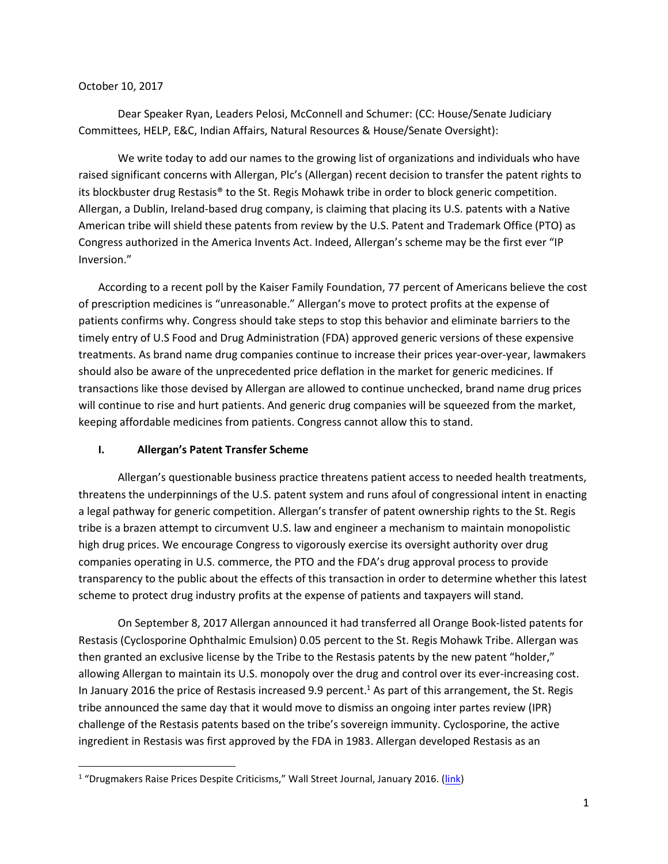## October 10, 2017

 $\overline{\phantom{a}}$ 

Dear Speaker Ryan, Leaders Pelosi, McConnell and Schumer: (CC: House/Senate Judiciary Committees, HELP, E&C, Indian Affairs, Natural Resources & House/Senate Oversight):

We write today to add our names to the growing list of organizations and individuals who have raised significant concerns with Allergan, Plc's (Allergan) recent decision to transfer the patent rights to its blockbuster drug Restasis® to the St. Regis Mohawk tribe in order to block generic competition. Allergan, a Dublin, Ireland-based drug company, is claiming that placing its U.S. patents with a Native American tribe will shield these patents from review by the U.S. Patent and Trademark Office (PTO) as Congress authorized in the America Invents Act. Indeed, Allergan's scheme may be the first ever "IP Inversion."

According to a recent poll by the Kaiser Family Foundation, 77 percent of Americans believe the cost of prescription medicines is "unreasonable." Allergan's move to protect profits at the expense of patients confirms why. Congress should take steps to stop this behavior and eliminate barriers to the timely entry of U.S Food and Drug Administration (FDA) approved generic versions of these expensive treatments. As brand name drug companies continue to increase their prices year-over-year, lawmakers should also be aware of the unprecedented price deflation in the market for generic medicines. If transactions like those devised by Allergan are allowed to continue unchecked, brand name drug prices will continue to rise and hurt patients. And generic drug companies will be squeezed from the market, keeping affordable medicines from patients. Congress cannot allow this to stand.

## **I. Allergan's Patent Transfer Scheme**

Allergan's questionable business practice threatens patient access to needed health treatments, threatens the underpinnings of the U.S. patent system and runs afoul of congressional intent in enacting a legal pathway for generic competition. Allergan's transfer of patent ownership rights to the St. Regis tribe is a brazen attempt to circumvent U.S. law and engineer a mechanism to maintain monopolistic high drug prices. We encourage Congress to vigorously exercise its oversight authority over drug companies operating in U.S. commerce, the PTO and the FDA's drug approval process to provide transparency to the public about the effects of this transaction in order to determine whether this latest scheme to protect drug industry profits at the expense of patients and taxpayers will stand.

On September 8, 2017 Allergan announced it had transferred all Orange Book-listed patents for Restasis (Cyclosporine Ophthalmic Emulsion) 0.05 percent to the St. Regis Mohawk Tribe. Allergan was then granted an exclusive license by the Tribe to the Restasis patents by the new patent "holder," allowing Allergan to maintain its U.S. monopoly over the drug and control over its ever-increasing cost. In January 2016 the price of Restasis increased 9.9 percent.<sup>1</sup> As part of this arrangement, the St. Regis tribe announced the same day that it would move to dismiss an ongoing inter partes review (IPR) challenge of the Restasis patents based on the tribe's sovereign immunity. Cyclosporine, the active ingredient in Restasis was first approved by the FDA in 1983. Allergan developed Restasis as an

<sup>&</sup>lt;sup>1</sup> "Drugmakers Raise Prices Despite Criticisms," Wall Street Journal, January 2016. ([link\)](https://www.wsj.com/articles/drugmakers-raise-prices-despite-criticisms-1452474210)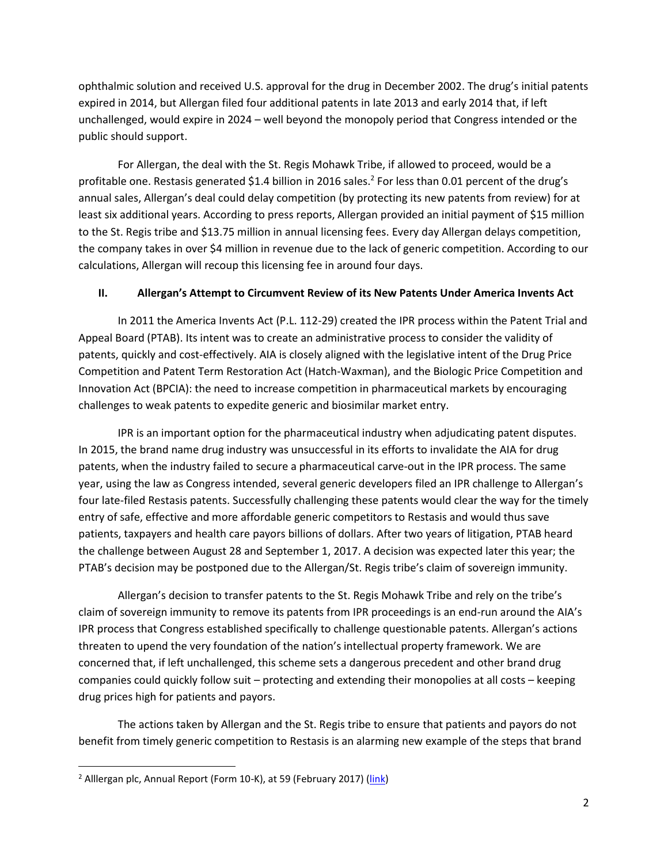ophthalmic solution and received U.S. approval for the drug in December 2002. The drug's initial patents expired in 2014, but Allergan filed four additional patents in late 2013 and early 2014 that, if left unchallenged, would expire in 2024 – well beyond the monopoly period that Congress intended or the public should support.

For Allergan, the deal with the St. Regis Mohawk Tribe, if allowed to proceed, would be a profitable one. Restasis generated \$1.4 billion in 2016 sales.<sup>2</sup> For less than 0.01 percent of the drug's annual sales, Allergan's deal could delay competition (by protecting its new patents from review) for at least six additional years. According to press reports, Allergan provided an initial payment of \$15 million to the St. Regis tribe and \$13.75 million in annual licensing fees. Every day Allergan delays competition, the company takes in over \$4 million in revenue due to the lack of generic competition. According to our calculations, Allergan will recoup this licensing fee in around four days.

## **II. Allergan's Attempt to Circumvent Review of its New Patents Under America Invents Act**

In 2011 the America Invents Act (P.L. 112-29) created the IPR process within the Patent Trial and Appeal Board (PTAB). Its intent was to create an administrative process to consider the validity of patents, quickly and cost-effectively. AIA is closely aligned with the legislative intent of the Drug Price Competition and Patent Term Restoration Act (Hatch-Waxman), and the Biologic Price Competition and Innovation Act (BPCIA): the need to increase competition in pharmaceutical markets by encouraging challenges to weak patents to expedite generic and biosimilar market entry.

IPR is an important option for the pharmaceutical industry when adjudicating patent disputes. In 2015, the brand name drug industry was unsuccessful in its efforts to invalidate the AIA for drug patents, when the industry failed to secure a pharmaceutical carve-out in the IPR process. The same year, using the law as Congress intended, several generic developers filed an IPR challenge to Allergan's four late-filed Restasis patents. Successfully challenging these patents would clear the way for the timely entry of safe, effective and more affordable generic competitors to Restasis and would thus save patients, taxpayers and health care payors billions of dollars. After two years of litigation, PTAB heard the challenge between August 28 and September 1, 2017. A decision was expected later this year; the PTAB's decision may be postponed due to the Allergan/St. Regis tribe's claim of sovereign immunity.

Allergan's decision to transfer patents to the St. Regis Mohawk Tribe and rely on the tribe's claim of sovereign immunity to remove its patents from IPR proceedings is an end-run around the AIA's IPR process that Congress established specifically to challenge questionable patents. Allergan's actions threaten to upend the very foundation of the nation's intellectual property framework. We are concerned that, if left unchallenged, this scheme sets a dangerous precedent and other brand drug companies could quickly follow suit – protecting and extending their monopolies at all costs – keeping drug prices high for patients and payors.

The actions taken by Allergan and the St. Regis tribe to ensure that patients and payors do not benefit from timely generic competition to Restasis is an alarming new example of the steps that brand

 $\overline{\phantom{a}}$ 

<sup>&</sup>lt;sup>2</sup> Alllergan plc, Annual Report (Form 10-K), at 59 (February 2017) [\(link\)](https://allergan-web-cdn-prod.azureedge.net/actavis/actavis/media/allerganinvestors/financial-information/proxy-materials/10-k.pdf)